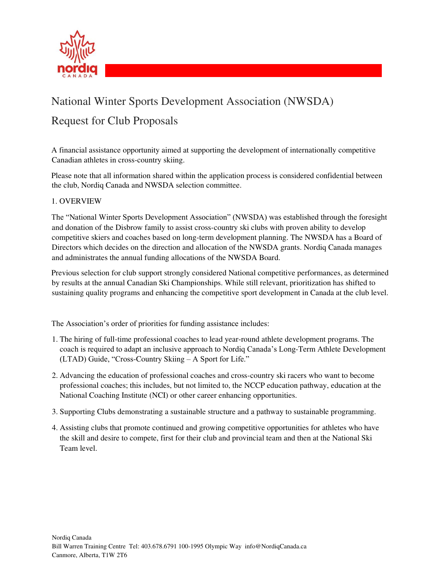

# National Winter Sports Development Association (NWSDA) Request for Club Proposals

A financial assistance opportunity aimed at supporting the development of internationally competitive Canadian athletes in cross-country skiing.

Please note that all information shared within the application process is considered confidential between the club, Nordiq Canada and NWSDA selection committee.

#### 1. OVERVIEW

The "National Winter Sports Development Association" (NWSDA) was established through the foresight and donation of the Disbrow family to assist cross-country ski clubs with proven ability to develop competitive skiers and coaches based on long-term development planning. The NWSDA has a Board of Directors which decides on the direction and allocation of the NWSDA grants. Nordiq Canada manages and administrates the annual funding allocations of the NWSDA Board.

Previous selection for club support strongly considered National competitive performances, as determined by results at the annual Canadian Ski Championships. While still relevant, prioritization has shifted to sustaining quality programs and enhancing the competitive sport development in Canada at the club level.

The Association's order of priorities for funding assistance includes:

- 1. The hiring of full-time professional coaches to lead year-round athlete development programs. The coach is required to adapt an inclusive approach to Nordiq Canada's Long-Term Athlete Development (LTAD) Guide, "Cross-Country Skiing – A Sport for Life."
- 2. Advancing the education of professional coaches and cross-country ski racers who want to become professional coaches; this includes, but not limited to, the NCCP education pathway, education at the National Coaching Institute (NCI) or other career enhancing opportunities.
- 3. Supporting Clubs demonstrating a sustainable structure and a pathway to sustainable programming.
- 4. Assisting clubs that promote continued and growing competitive opportunities for athletes who have the skill and desire to compete, first for their club and provincial team and then at the National Ski Team level.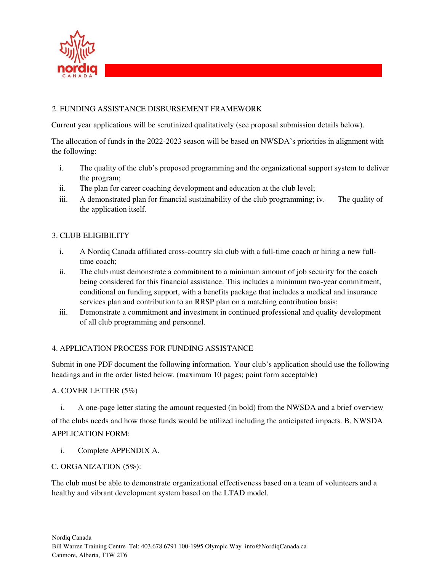

#### 2. FUNDING ASSISTANCE DISBURSEMENT FRAMEWORK

Current year applications will be scrutinized qualitatively (see proposal submission details below).

The allocation of funds in the 2022-2023 season will be based on NWSDA's priorities in alignment with the following:

- i. The quality of the club's proposed programming and the organizational support system to deliver the program;
- ii. The plan for career coaching development and education at the club level;
- iii. A demonstrated plan for financial sustainability of the club programming; iv. The quality of the application itself.

#### 3. CLUB ELIGIBILITY

- i. A Nordiq Canada affiliated cross-country ski club with a full-time coach or hiring a new fulltime coach;
- ii. The club must demonstrate a commitment to a minimum amount of job security for the coach being considered for this financial assistance. This includes a minimum two-year commitment, conditional on funding support, with a benefits package that includes a medical and insurance services plan and contribution to an RRSP plan on a matching contribution basis;
- iii. Demonstrate a commitment and investment in continued professional and quality development of all club programming and personnel.

#### 4. APPLICATION PROCESS FOR FUNDING ASSISTANCE

Submit in one PDF document the following information. Your club's application should use the following headings and in the order listed below. (maximum 10 pages; point form acceptable)

#### A. COVER LETTER (5%)

i. A one-page letter stating the amount requested (in bold) from the NWSDA and a brief overview of the clubs needs and how those funds would be utilized including the anticipated impacts. B. NWSDA APPLICATION FORM:

i. Complete APPENDIX A.

#### C. ORGANIZATION (5%):

The club must be able to demonstrate organizational effectiveness based on a team of volunteers and a healthy and vibrant development system based on the LTAD model.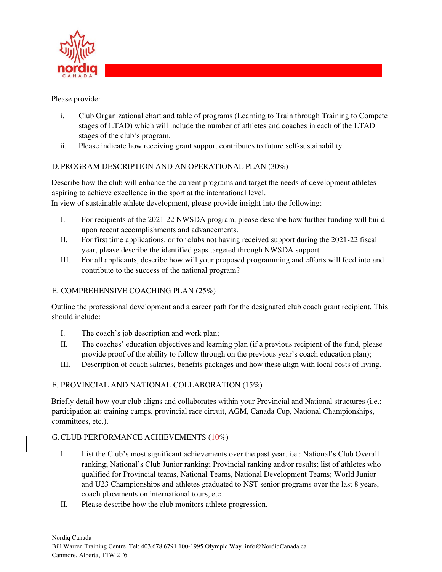

Please provide:

- i. Club Organizational chart and table of programs (Learning to Train through Training to Compete stages of LTAD) which will include the number of athletes and coaches in each of the LTAD stages of the club's program.
- ii. Please indicate how receiving grant support contributes to future self-sustainability.

# D.PROGRAM DESCRIPTION AND AN OPERATIONAL PLAN (30%)

Describe how the club will enhance the current programs and target the needs of development athletes aspiring to achieve excellence in the sport at the international level. In view of sustainable athlete development, please provide insight into the following:

- I. For recipients of the 2021-22 NWSDA program, please describe how further funding will build upon recent accomplishments and advancements.
- II. For first time applications, or for clubs not having received support during the 2021-22 fiscal year, please describe the identified gaps targeted through NWSDA support.
- III. For all applicants, describe how will your proposed programming and efforts will feed into and contribute to the success of the national program?

# E. COMPREHENSIVE COACHING PLAN (25%)

Outline the professional development and a career path for the designated club coach grant recipient. This should include:

- I. The coach's job description and work plan;
- II. The coaches' education objectives and learning plan (if a previous recipient of the fund, please provide proof of the ability to follow through on the previous year's coach education plan);
- III. Description of coach salaries, benefits packages and how these align with local costs of living.

# F. PROVINCIAL AND NATIONAL COLLABORATION (15%)

Briefly detail how your club aligns and collaborates within your Provincial and National structures (i.e.: participation at: training camps, provincial race circuit, AGM, Canada Cup, National Championships, committees, etc.).

# G.CLUB PERFORMANCE ACHIEVEMENTS (10%)

- I. List the Club's most significant achievements over the past year. i.e.: National's Club Overall ranking; National's Club Junior ranking; Provincial ranking and/or results; list of athletes who qualified for Provincial teams, National Teams, National Development Teams; World Junior and U23 Championships and athletes graduated to NST senior programs over the last 8 years, coach placements on international tours, etc.
- II. Please describe how the club monitors athlete progression.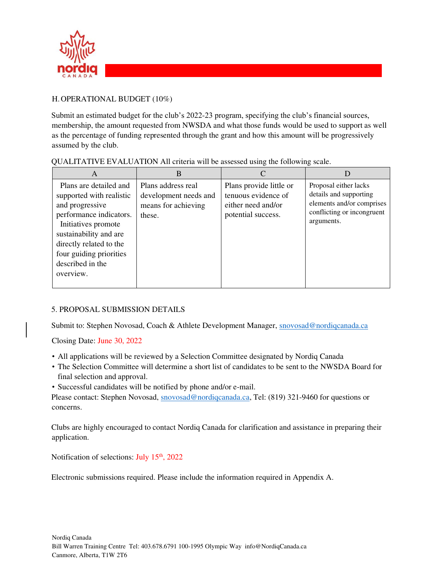

# H.OPERATIONAL BUDGET (10%)

Submit an estimated budget for the club's 2022-23 program, specifying the club's financial sources, membership, the amount requested from NWSDA and what those funds would be used to support as well as the percentage of funding represented through the grant and how this amount will be progressively assumed by the club.

| A                                                                                                                                                                                                                                        | B                                                                            |                                                                                            |                                                                                                                          |
|------------------------------------------------------------------------------------------------------------------------------------------------------------------------------------------------------------------------------------------|------------------------------------------------------------------------------|--------------------------------------------------------------------------------------------|--------------------------------------------------------------------------------------------------------------------------|
| Plans are detailed and<br>supported with realistic<br>and progressive<br>performance indicators.<br>Initiatives promote<br>sustainability and are<br>directly related to the<br>four guiding priorities<br>described in the<br>overview. | Plans address real<br>development needs and<br>means for achieving<br>these. | Plans provide little or<br>tenuous evidence of<br>either need and/or<br>potential success. | Proposal either lacks<br>details and supporting<br>elements and/or comprises<br>conflicting or incongruent<br>arguments. |

QUALITATIVE EVALUATION All criteria will be assessed using the following scale.

#### 5. PROPOSAL SUBMISSION DETAILS

Submit to: Stephen Novosad, Coach & Athlete Development Manager, snovosad@nordiqcanada.ca

Closing Date: June 30, 2022

- All applications will be reviewed by a Selection Committee designated by Nordiq Canada
- The Selection Committee will determine a short list of candidates to be sent to the NWSDA Board for final selection and approval.
- Successful candidates will be notified by phone and/or e-mail.

Please contact: Stephen Novosad, snovosad@nordiqcanada.ca, Tel: (819) 321-9460 for questions or concerns.

Clubs are highly encouraged to contact Nordiq Canada for clarification and assistance in preparing their application.

Notification of selections: July  $15<sup>th</sup>$ , 2022

Electronic submissions required. Please include the information required in Appendix A.